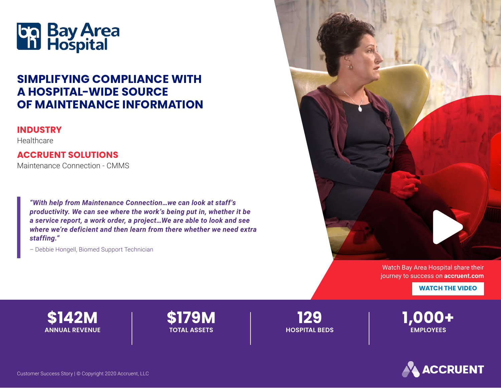

# **SIMPLIFYING COMPLIANCE WITH A HOSPITAL-WIDE SOURCE OF MAINTENANCE INFORMATION**

#### **INDUSTRY**

Healthcare

#### **ACCRUENT SOLUTIONS**

Maintenance Connection - CMMS

*"With help from Maintenance Connection…we can look at staff's productivity. We can see where the work's being put in, whether it be a service report, a work order, a project…We are able to look and see where we're deficient and then learn from there whether we need extra staffing."*

– Debbie Hongell, Biomed Support Technician



[Watch Bay Area Hospital share their](https://www.accruent.com/resources/case-studies/BayAreaHospital)  journey to success on **accruent.com**

**WATCH THE VIDEO** 



**\$179M TOTAL ASSETS**

**129 HOSPITAL BEDS** **1,000+ EMPLOYEES**